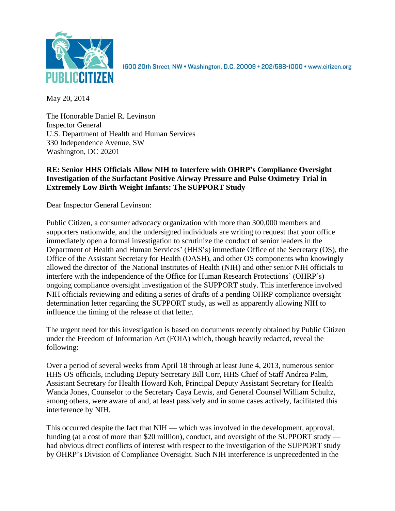

1600 20th Street, NW • Washington, D.C. 20009 • 202/588-1000 • www.citizen.org

May 20, 2014

The Honorable Daniel R. Levinson Inspector General U.S. Department of Health and Human Services 330 Independence Avenue, SW Washington, DC 20201

## **RE: Senior HHS Officials Allow NIH to Interfere with OHRP's Compliance Oversight Investigation of the Surfactant Positive Airway Pressure and Pulse Oximetry Trial in Extremely Low Birth Weight Infants: The SUPPORT Study**

Dear Inspector General Levinson:

Public Citizen, a consumer advocacy organization with more than 300,000 members and supporters nationwide, and the undersigned individuals are writing to request that your office immediately open a formal investigation to scrutinize the conduct of senior leaders in the Department of Health and Human Services' (HHS's) immediate Office of the Secretary (OS), the Office of the Assistant Secretary for Health (OASH), and other OS components who knowingly allowed the director of the National Institutes of Health (NIH) and other senior NIH officials to interfere with the independence of the Office for Human Research Protections' (OHRP's) ongoing compliance oversight investigation of the SUPPORT study. This interference involved NIH officials reviewing and editing a series of drafts of a pending OHRP compliance oversight determination letter regarding the SUPPORT study, as well as apparently allowing NIH to influence the timing of the release of that letter.

The urgent need for this investigation is based on documents recently obtained by Public Citizen under the Freedom of Information Act (FOIA) which, though heavily redacted, reveal the following:

Over a period of several weeks from April 18 through at least June 4, 2013, numerous senior HHS OS officials, including Deputy Secretary Bill Corr, HHS Chief of Staff Andrea Palm, Assistant Secretary for Health Howard Koh, Principal Deputy Assistant Secretary for Health Wanda Jones, Counselor to the Secretary Caya Lewis, and General Counsel William Schultz, among others, were aware of and, at least passively and in some cases actively, facilitated this interference by NIH.

This occurred despite the fact that NIH — which was involved in the development, approval, funding (at a cost of more than \$20 million), conduct, and oversight of the SUPPORT study had obvious direct conflicts of interest with respect to the investigation of the SUPPORT study by OHRP's Division of Compliance Oversight. Such NIH interference is unprecedented in the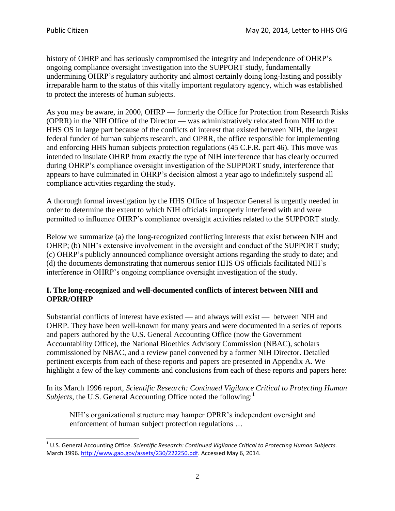$\overline{a}$ 

history of OHRP and has seriously compromised the integrity and independence of OHRP's ongoing compliance oversight investigation into the SUPPORT study, fundamentally undermining OHRP's regulatory authority and almost certainly doing long-lasting and possibly irreparable harm to the status of this vitally important regulatory agency, which was established to protect the interests of human subjects.

As you may be aware, in 2000, OHRP — formerly the Office for Protection from Research Risks (OPRR) in the NIH Office of the Director — was administratively relocated from NIH to the HHS OS in large part because of the conflicts of interest that existed between NIH, the largest federal funder of human subjects research, and OPRR, the office responsible for implementing and enforcing HHS human subjects protection regulations (45 C.F.R. part 46). This move was intended to insulate OHRP from exactly the type of NIH interference that has clearly occurred during OHRP's compliance oversight investigation of the SUPPORT study, interference that appears to have culminated in OHRP's decision almost a year ago to indefinitely suspend all compliance activities regarding the study.

A thorough formal investigation by the HHS Office of Inspector General is urgently needed in order to determine the extent to which NIH officials improperly interfered with and were permitted to influence OHRP's compliance oversight activities related to the SUPPORT study.

Below we summarize (a) the long-recognized conflicting interests that exist between NIH and OHRP; (b) NIH's extensive involvement in the oversight and conduct of the SUPPORT study; (c) OHRP's publicly announced compliance oversight actions regarding the study to date; and (d) the documents demonstrating that numerous senior HHS OS officials facilitated NIH's interference in OHRP's ongoing compliance oversight investigation of the study.

## **I. The long-recognized and well-documented conflicts of interest between NIH and OPRR/OHRP**

Substantial conflicts of interest have existed — and always will exist — between NIH and OHRP. They have been well-known for many years and were documented in a series of reports and papers authored by the U.S. General Accounting Office (now the Government Accountability Office), the National Bioethics Advisory Commission (NBAC), scholars commissioned by NBAC, and a review panel convened by a former NIH Director. Detailed pertinent excerpts from each of these reports and papers are presented in Appendix A. We highlight a few of the key comments and conclusions from each of these reports and papers here:

In its March 1996 report, *Scientific Research: Continued Vigilance Critical to Protecting Human Subjects*, the U.S. General Accounting Office noted the following: $<sup>1</sup>$ </sup>

NIH's organizational structure may hamper OPRR's independent oversight and enforcement of human subject protection regulations …

<sup>1</sup> U.S. General Accounting Office. *Scientific Research: Continued Vigilance Critical to Protecting Human Subjects.*  March 1996[. http://www.gao.gov/assets/230/222250.pdf.](http://www.gao.gov/assets/230/222250.pdf) Accessed May 6, 2014.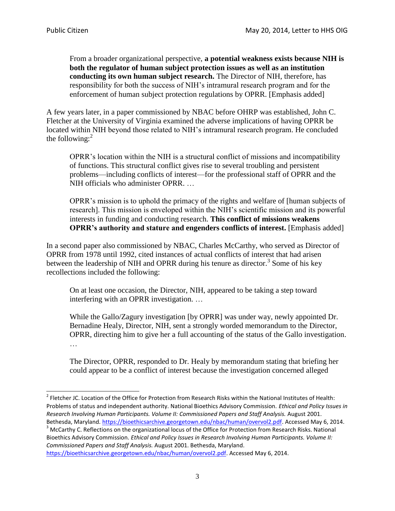From a broader organizational perspective, **a potential weakness exists because NIH is both the regulator of human subject protection issues as well as an institution conducting its own human subject research.** The Director of NIH, therefore, has responsibility for both the success of NIH's intramural research program and for the enforcement of human subject protection regulations by OPRR. [Emphasis added]

A few years later, in a paper commissioned by NBAC before OHRP was established, John C. Fletcher at the University of Virginia examined the adverse implications of having OPRR be located within NIH beyond those related to NIH's intramural research program. He concluded the following: $<sup>2</sup>$ </sup>

OPRR's location within the NIH is a structural conflict of missions and incompatibility of functions. This structural conflict gives rise to several troubling and persistent problems—including conflicts of interest—for the professional staff of OPRR and the NIH officials who administer OPRR. …

OPRR's mission is to uphold the primacy of the rights and welfare of [human subjects of research]. This mission is enveloped within the NIH's scientific mission and its powerful interests in funding and conducting research. **This conflict of missions weakens OPRR's authority and stature and engenders conflicts of interest.** [Emphasis added]

In a second paper also commissioned by NBAC, Charles McCarthy, who served as Director of OPRR from 1978 until 1992, cited instances of actual conflicts of interest that had arisen between the leadership of NIH and OPRR during his tenure as director.<sup>3</sup> Some of his key recollections included the following:

On at least one occasion, the Director, NIH, appeared to be taking a step toward interfering with an OPRR investigation. …

While the Gallo/Zagury investigation [by OPRR] was under way, newly appointed Dr. Bernadine Healy, Director, NIH, sent a strongly worded memorandum to the Director, OPRR, directing him to give her a full accounting of the status of the Gallo investigation. …

The Director, OPRR, responded to Dr. Healy by memorandum stating that briefing her could appear to be a conflict of interest because the investigation concerned alleged

<sup>3</sup> McCarthy C. Reflections on the organizational locus of the Office for Protection from Research Risks. National Bioethics Advisory Commission. *Ethical and Policy Issues in Research Involving Human Participants. Volume II: Commissioned Papers and Staff Analysis.* August 2001. Bethesda, Maryland.

[https://bioethicsarchive.georgetown.edu/nbac/human/overvol2.pdf.](https://bioethicsarchive.georgetown.edu/nbac/human/overvol2.pdf) Accessed May 6, 2014.

 2 Fletcher JC. Location of the Office for Protection from Research Risks within the National Institutes of Health: Problems of status and independent authority. National Bioethics Advisory Commission. *Ethical and Policy Issues in Research Involving Human Participants. Volume II: Commissioned Papers and Staff Analysis.* August 2001. Bethesda, Maryland[. https://bioethicsarchive.georgetown.edu/nbac/human/overvol2.pdf.](https://bioethicsarchive.georgetown.edu/nbac/human/overvol2.pdf) Accessed May 6, 2014.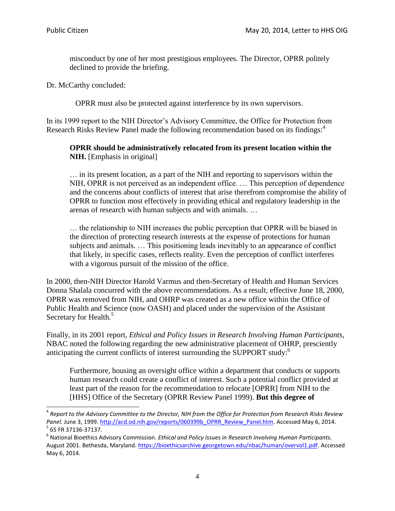l

misconduct by one of her most prestigious employees. The Director, OPRR politely declined to provide the briefing.

Dr. McCarthy concluded:

OPRR must also be protected against interference by its own supervisors.

In its 1999 report to the NIH Director's Advisory Committee, the Office for Protection from Research Risks Review Panel made the following recommendation based on its findings: 4

### **OPRR should be administratively relocated from its present location within the NIH.** [Emphasis in original]

… in its present location, as a part of the NIH and reporting to supervisors within the NIH, OPRR is not perceived as an independent office. … This perception of dependence and the concerns about conflicts of interest that arise therefrom compromise the ability of OPRR to function most effectively in providing ethical and regulatory leadership in the arenas of research with human subjects and with animals. …

… the relationship to NIH increases the public perception that OPRR will be biased in the direction of protecting research interests at the expense of protections for human subjects and animals. … This positioning leads inevitably to an appearance of conflict that likely, in specific cases, reflects reality. Even the perception of conflict interferes with a vigorous pursuit of the mission of the office.

In 2000, then-NIH Director Harold Varmus and then-Secretary of Health and Human Services Donna Shalala concurred with the above recommendations. As a result, effective June 18, 2000, OPRR was removed from NIH, and OHRP was created as a new office within the Office of Public Health and Science (now OASH) and placed under the supervision of the Assistant Secretary for Health.<sup>5</sup>

Finally, in its 2001 report, *Ethical and Policy Issues in Research Involving Human Participants*, NBAC noted the following regarding the new administrative placement of OHRP, presciently anticipating the current conflicts of interest surrounding the SUPPORT study:<sup>6</sup>

Furthermore, housing an oversight office within a department that conducts or supports human research could create a conflict of interest. Such a potential conflict provided at least part of the reason for the recommendation to relocate [OPRR] from NIH to the [HHS] Office of the Secretary (OPRR Review Panel 1999). **But this degree of** 

<sup>4</sup> *Report to the Advisory Committee to the Director, NIH from the Office for Protection from Research Risks Review*  Panel. June 3, 1999. [http://acd.od.nih.gov/reports/060399b\\_OPRR\\_Review\\_Panel.htm.](http://acd.od.nih.gov/reports/060399b_OPRR_Review_Panel.htm) Accessed May 6, 2014. 5 65 FR 37136-37137.

<sup>6</sup> National Bioethics Advisory Commission. *Ethical and Policy Issues in Research Involving Human Participants.*  August 2001. Bethesda, Maryland. [https://bioethicsarchive.georgetown.edu/nbac/human/overvol1.pdf.](https://bioethicsarchive.georgetown.edu/nbac/human/overvol1.pdf) Accessed May 6, 2014.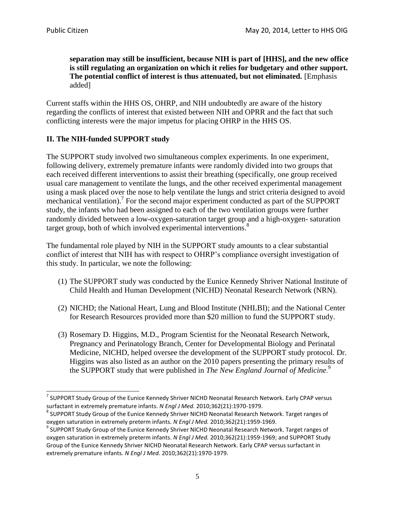**separation may still be insufficient, because NIH is part of [HHS], and the new office is still regulating an organization on which it relies for budgetary and other support. The potential conflict of interest is thus attenuated, but not eliminated.** [Emphasis added]

Current staffs within the HHS OS, OHRP, and NIH undoubtedly are aware of the history regarding the conflicts of interest that existed between NIH and OPRR and the fact that such conflicting interests were the major impetus for placing OHRP in the HHS OS.

## **II. The NIH-funded SUPPORT study**

The SUPPORT study involved two simultaneous complex experiments. In one experiment, following delivery, extremely premature infants were randomly divided into two groups that each received different interventions to assist their breathing (specifically, one group received usual care management to ventilate the lungs, and the other received experimental management using a mask placed over the nose to help ventilate the lungs and strict criteria designed to avoid mechanical ventilation).<sup>7</sup> For the second major experiment conducted as part of the SUPPORT study, the infants who had been assigned to each of the two ventilation groups were further randomly divided between a low-oxygen-saturation target group and a high-oxygen- saturation target group, both of which involved experimental interventions.<sup>8</sup>

The fundamental role played by NIH in the SUPPORT study amounts to a clear substantial conflict of interest that NIH has with respect to OHRP's compliance oversight investigation of this study. In particular, we note the following:

- (1) The SUPPORT study was conducted by the Eunice Kennedy Shriver National Institute of Child Health and Human Development (NICHD) Neonatal Research Network (NRN).
- (2) NICHD; the National Heart, Lung and Blood Institute (NHLBI); and the National Center for Research Resources provided more than \$20 million to fund the SUPPORT study.
- (3) Rosemary D. Higgins, M.D., Program Scientist for the Neonatal Research Network, Pregnancy and Perinatology Branch, Center for Developmental Biology and Perinatal Medicine, NICHD, helped oversee the development of the SUPPORT study protocol. Dr. Higgins was also listed as an author on the 2010 papers presenting the primary results of the SUPPORT study that were published in *The New England Journal of Medicine*. 9

**THE SERVIT START START TIM**<br>THE EUPPORT Study Group of the Eunice Kennedy Shriver NICHD Neonatal Research Network. Early CPAP versus surfactant in extremely premature infants. *N Engl J Med.* 2010;362(21):1970-1979.

 $^8$  SUPPORT Study Group of the Eunice Kennedy Shriver NICHD Neonatal Research Network. Target ranges of oxygen saturation in extremely preterm infants. *N Engl J Med.* 2010;362(21):1959-1969.

 $^9$  SUPPORT Study Group of the Eunice Kennedy Shriver NICHD Neonatal Research Network. Target ranges of oxygen saturation in extremely preterm infants. *N Engl J Med.* 2010;362(21):1959-1969; and SUPPORT Study Group of the Eunice Kennedy Shriver NICHD Neonatal Research Network. Early CPAP versus surfactant in extremely premature infants. *N Engl J Med.* 2010;362(21):1970-1979.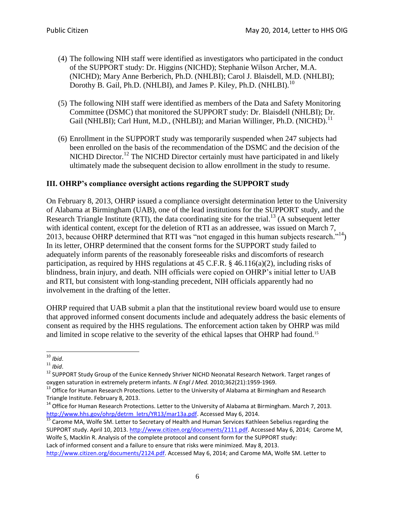- (4) The following NIH staff were identified as investigators who participated in the conduct of the SUPPORT study: Dr. Higgins (NICHD); Stephanie Wilson Archer, M.A. (NICHD); Mary Anne Berberich, Ph.D. (NHLBI); Carol J. Blaisdell, M.D. (NHLBI); Dorothy B. Gail, Ph.D. (NHLBI), and James P. Kiley, Ph.D. (NHLBI).<sup>10</sup>
- (5) The following NIH staff were identified as members of the Data and Safety Monitoring Committee (DSMC) that monitored the SUPPORT study: Dr. Blaisdell (NHLBI); Dr. Gail (NHLBI); Carl Hunt, M.D., (NHLBI); and Marian Willinger, Ph.D. (NICHD).<sup>11</sup>
- (6) Enrollment in the SUPPORT study was temporarily suspended when 247 subjects had been enrolled on the basis of the recommendation of the DSMC and the decision of the NICHD Director.<sup>12</sup> The NICHD Director certainly must have participated in and likely ultimately made the subsequent decision to allow enrollment in the study to resume.

## **III. OHRP's compliance oversight actions regarding the SUPPORT study**

On February 8, 2013, OHRP issued a compliance oversight determination letter to the University of Alabama at Birmingham (UAB), one of the lead institutions for the SUPPORT study, and the Research Triangle Institute (RTI), the data coordinating site for the trial.<sup>13</sup> (A subsequent letter with identical content, except for the deletion of RTI as an addressee, was issued on March 7, 2013, because OHRP determined that RTI was "not engaged in this human subjects research."<sup>14</sup>) In its letter, OHRP determined that the consent forms for the SUPPORT study failed to adequately inform parents of the reasonably foreseeable risks and discomforts of research participation, as required by HHS regulations at 45 C.F.R.  $\S$  46.116(a)(2), including risks of blindness, brain injury, and death. NIH officials were copied on OHRP's initial letter to UAB and RTI, but consistent with long-standing precedent, NIH officials apparently had no involvement in the drafting of the letter.

OHRP required that UAB submit a plan that the institutional review board would use to ensure that approved informed consent documents include and adequately address the basic elements of consent as required by the HHS regulations. The enforcement action taken by OHRP was mild and limited in scope relative to the severity of the ethical lapses that OHRP had found.<sup>15</sup>

l <sup>10</sup> *Ibid*.

<sup>11</sup> *Ibid*.

<sup>&</sup>lt;sup>12</sup> SUPPORT Study Group of the Eunice Kennedy Shriver NICHD Neonatal Research Network. Target ranges of oxygen saturation in extremely preterm infants. *N Engl J Med.* 2010;362(21):1959-1969.

<sup>&</sup>lt;sup>13</sup> Office for Human Research Protections. Letter to the University of Alabama at Birmingham and Research Triangle Institute. February 8, 2013.

<sup>&</sup>lt;sup>14</sup> Office for Human Research Protections. Letter to the University of Alabama at Birmingham. March 7, 2013. http://www.hhs.gov/ohrp/detrm\_letrs/YR13/mar13a.pdf</u>. Accessed May 6, 2014.

<sup>&</sup>lt;sup>15</sup> Carome MA, Wolfe SM. Letter to Secretary of Health and Human Services Kathleen Sebelius regarding the SUPPORT study. April 10, 2013. [http://www.citizen.org/documents/2111.pdf.](http://www.citizen.org/documents/2111.pdf) Accessed May 6, 2014; Carome M, Wolfe S, Macklin R. Analysis of the complete protocol and consent form for the SUPPORT study: Lack of informed consent and a failure to ensure that risks were minimized. May 8, 2013. [http://www.citizen.org/documents/2124.pdf.](http://www.citizen.org/documents/2124.pdf) Accessed May 6, 2014; and Carome MA, Wolfe SM. Letter to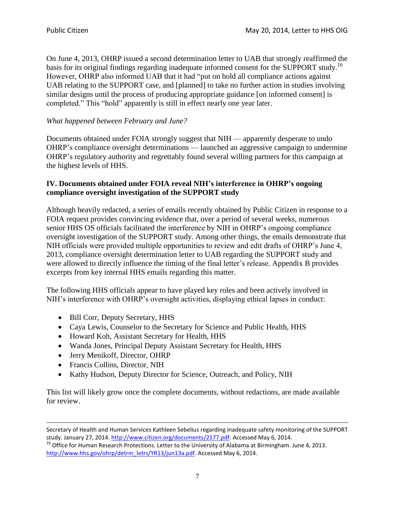On June 4, 2013, OHRP issued a second determination letter to UAB that strongly reaffirmed the basis for its original findings regarding inadequate informed consent for the SUPPORT study.<sup>16</sup> However, OHRP also informed UAB that it had "put on hold all compliance actions against UAB relating to the SUPPORT case, and [planned] to take no further action in studies involving similar designs until the process of producing appropriate guidance [on informed consent] is completed." This "hold" apparently is still in effect nearly one year later.

## *What happened between February and June?*

Documents obtained under FOIA strongly suggest that NIH — apparently desperate to undo OHRP's compliance oversight determinations — launched an aggressive campaign to undermine OHRP's regulatory authority and regrettably found several willing partners for this campaign at the highest levels of HHS.

## **IV. Documents obtained under FOIA reveal NIH's interference in OHRP's ongoing compliance oversight investigation of the SUPPORT study**

Although heavily redacted, a series of emails recently obtained by Public Citizen in response to a FOIA request provides convincing evidence that, over a period of several weeks, numerous senior HHS OS officials facilitated the interference by NIH in OHRP's ongoing compliance oversight investigation of the SUPPORT study. Among other things, the emails demonstrate that NIH officials were provided multiple opportunities to review and edit drafts of OHRP's June 4, 2013, compliance oversight determination letter to UAB regarding the SUPPORT study and were allowed to directly influence the timing of the final letter's release. Appendix B provides excerpts from key internal HHS emails regarding this matter.

The following HHS officials appear to have played key roles and been actively involved in NIH's interference with OHRP's oversight activities, displaying ethical lapses in conduct:

- Bill Corr, Deputy Secretary, HHS
- Caya Lewis, Counselor to the Secretary for Science and Public Health, HHS
- Howard Koh, Assistant Secretary for Health, HHS
- Wanda Jones, Principal Deputy Assistant Secretary for Health, HHS
- Jerry Menikoff, Director, OHRP
- Francis Collins, Director, NIH

l

• Kathy Hudson, Deputy Director for Science, Outreach, and Policy, NIH

This list will likely grow once the complete documents, without redactions, are made available for review.

Secretary of Health and Human Services Kathleen Sebelius regarding inadequate safety monitoring of the SUPPORT study. January 27, 2014[. http://www.citizen.org/documents/2177.pdf.](http://www.citizen.org/documents/2177.pdf) Accessed May 6, 2014.

<sup>16</sup> Office for Human Research Protections. Letter to the University of Alabama at Birmingham. June 4, 2013. [http://www.hhs.gov/ohrp/detrm\\_letrs/YR13/jun13a.pdf.](http://www.hhs.gov/ohrp/detrm_letrs/YR13/jun13a.pdf) Accessed May 6, 2014.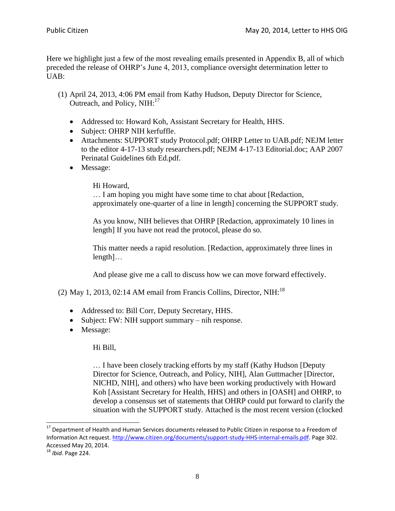Here we highlight just a few of the most revealing emails presented in Appendix B, all of which preceded the release of OHRP's June 4, 2013, compliance oversight determination letter to UAB:

- (1) April 24, 2013, 4:06 PM email from Kathy Hudson, Deputy Director for Science, Outreach, and Policy, NIH:<sup>17</sup>
	- Addressed to: Howard Koh, Assistant Secretary for Health, HHS.
	- Subject: OHRP NIH kerfuffle.
	- Attachments: SUPPORT study Protocol.pdf; OHRP Letter to UAB.pdf; NEJM letter to the editor 4-17-13 study researchers.pdf; NEJM 4-17-13 Editorial.doc; AAP 2007 Perinatal Guidelines 6th Ed.pdf.
	- Message:

## Hi Howard,

… I am hoping you might have some time to chat about [Redaction, approximately one-quarter of a line in length] concerning the SUPPORT study.

As you know, NIH believes that OHRP [Redaction, approximately 10 lines in length] If you have not read the protocol, please do so.

This matter needs a rapid resolution. [Redaction, approximately three lines in length]…

And please give me a call to discuss how we can move forward effectively.

(2) May 1, 2013, 02:14 AM email from Francis Collins, Director, NIH:<sup>18</sup>

- Addressed to: Bill Corr, Deputy Secretary, HHS.
- Subject: FW: NIH support summary nih response.
- Message:

Hi Bill,

… I have been closely tracking efforts by my staff (Kathy Hudson [Deputy Director for Science, Outreach, and Policy, NIH], Alan Guttmacher [Director, NICHD, NIH], and others) who have been working productively with Howard Koh [Assistant Secretary for Health, HHS] and others in [OASH] and OHRP, to develop a consensus set of statements that OHRP could put forward to clarify the situation with the SUPPORT study. Attached is the most recent version (clocked

l

<sup>&</sup>lt;sup>17</sup> Department of Health and Human Services documents released to Public Citizen in response to a Freedom of Information Act request. [http://www.citizen.org/documents/support-study-HHS-internal-emails.pdf.](http://www.citizen.org/documents/support-study-HHS-internal-emails.pdf) Page 302. Accessed May 20, 2014.

<sup>18</sup> *Ibid*. Page 224.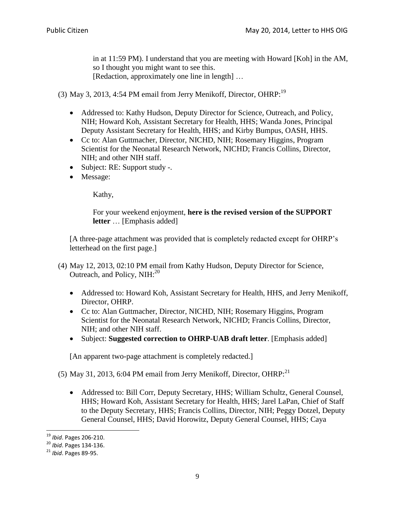in at 11:59 PM). I understand that you are meeting with Howard [Koh] in the AM, so I thought you might want to see this. [Redaction, approximately one line in length] ...

(3) May 3, 2013, 4:54 PM email from Jerry Menikoff, Director, OHRP:<sup>19</sup>

- Addressed to: Kathy Hudson, Deputy Director for Science, Outreach, and Policy, NIH; Howard Koh, Assistant Secretary for Health, HHS; Wanda Jones, Principal Deputy Assistant Secretary for Health, HHS; and Kirby Bumpus, OASH, HHS.
- Cc to: Alan Guttmacher, Director, NICHD, NIH; Rosemary Higgins, Program Scientist for the Neonatal Research Network, NICHD; Francis Collins, Director, NIH; and other NIH staff.
- Subject: RE: Support study -.
- Message:

Kathy,

For your weekend enjoyment, **here is the revised version of the SUPPORT letter** … [Emphasis added]

[A three-page attachment was provided that is completely redacted except for OHRP's letterhead on the first page.]

- (4) May 12, 2013, 02:10 PM email from Kathy Hudson, Deputy Director for Science, Outreach, and Policy,  $NIH:^{20}$ 
	- Addressed to: Howard Koh, Assistant Secretary for Health, HHS, and Jerry Menikoff, Director, OHRP.
	- Cc to: Alan Guttmacher, Director, NICHD, NIH; Rosemary Higgins, Program Scientist for the Neonatal Research Network, NICHD; Francis Collins, Director, NIH; and other NIH staff.
	- Subject: **Suggested correction to OHRP-UAB draft letter**. [Emphasis added]

[An apparent two-page attachment is completely redacted.]

(5) May 31, 2013, 6:04 PM email from Jerry Menikoff, Director, OHRP: $^{21}$ 

 Addressed to: Bill Corr, Deputy Secretary, HHS; William Schultz, General Counsel, HHS; Howard Koh, Assistant Secretary for Health, HHS; Jarel LaPan, Chief of Staff to the Deputy Secretary, HHS; Francis Collins, Director, NIH; Peggy Dotzel, Deputy General Counsel, HHS; David Horowitz, Deputy General Counsel, HHS; Caya

<sup>19</sup> *Ibid*. Pages 206-210.

<sup>20</sup> *Ibid*. Pages 134-136.

<sup>21</sup> *Ibid*. Pages 89-95.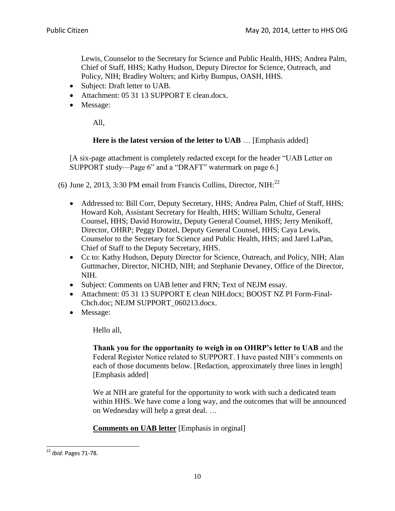Lewis, Counselor to the Secretary for Science and Public Health, HHS; Andrea Palm, Chief of Staff, HHS; Kathy Hudson, Deputy Director for Science, Outreach, and Policy, NIH; Bradley Wolters; and Kirby Bumpus, OASH, HHS.

- Subject: Draft letter to UAB.
- Attachment: 05 31 13 SUPPORT E clean.docx.
- Message:

All,

#### **Here is the latest version of the letter to UAB** … [Emphasis added]

[A six-page attachment is completely redacted except for the header "UAB Letter on SUPPORT study—Page 6" and a "DRAFT" watermark on page 6.]

(6) June 2, 2013, 3:30 PM email from Francis Collins, Director, NIH: $^{22}$ 

- Addressed to: Bill Corr, Deputy Secretary, HHS; Andrea Palm, Chief of Staff, HHS; Howard Koh, Assistant Secretary for Health, HHS; William Schultz, General Counsel, HHS; David Horowitz, Deputy General Counsel, HHS; Jerry Menikoff, Director, OHRP; Peggy Dotzel, Deputy General Counsel, HHS; Caya Lewis, Counselor to the Secretary for Science and Public Health, HHS; and Jarel LaPan, Chief of Staff to the Deputy Secretary, HHS.
- Cc to: Kathy Hudson, Deputy Director for Science, Outreach, and Policy, NIH; Alan Guttmacher, Director, NICHD, NIH; and Stephanie Devaney, Office of the Director, NIH.
- Subject: Comments on UAB letter and FRN; Text of NEJM essay.
- Attachment: 05 31 13 SUPPORT E clean NIH.docx; BOOST NZ PI Form-Final-Chch.doc; NEJM SUPPORT\_060213.docx.
- Message:

Hello all,

**Thank you for the opportunity to weigh in on OHRP's letter to UAB** and the Federal Register Notice related to SUPPORT. I have pasted NIH's comments on each of those documents below. [Redaction, approximately three lines in length] [Emphasis added]

We at NIH are grateful for the opportunity to work with such a dedicated team within HHS. We have come a long way, and the outcomes that will be announced on Wednesday will help a great deal. …

## **Comments on UAB letter** [Emphasis in orginal]

<sup>22</sup> *Ibid*. Pages 71-78.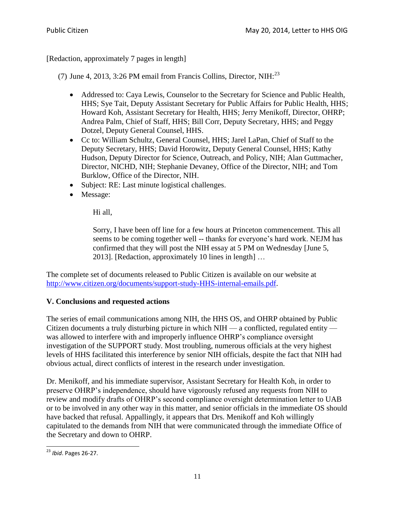[Redaction, approximately 7 pages in length]

(7) June 4, 2013, 3:26 PM email from Francis Collins, Director, NIH: $^{23}$ 

- Addressed to: Caya Lewis, Counselor to the Secretary for Science and Public Health, HHS; Sye Tait, Deputy Assistant Secretary for Public Affairs for Public Health, HHS; Howard Koh, Assistant Secretary for Health, HHS; Jerry Menikoff, Director, OHRP; Andrea Palm, Chief of Staff, HHS; Bill Corr, Deputy Secretary, HHS; and Peggy Dotzel, Deputy General Counsel, HHS.
- Cc to: William Schultz, General Counsel, HHS; Jarel LaPan, Chief of Staff to the Deputy Secretary, HHS; David Horowitz, Deputy General Counsel, HHS; Kathy Hudson, Deputy Director for Science, Outreach, and Policy, NIH; Alan Guttmacher, Director, NICHD, NIH; Stephanie Devaney, Office of the Director, NIH; and Tom Burklow, Office of the Director, NIH.
- Subject: RE: Last minute logistical challenges.
- Message:

Hi all,

Sorry, I have been off line for a few hours at Princeton commencement. This all seems to be coming together well -- thanks for everyone's hard work. NEJM has confirmed that they will post the NIH essay at 5 PM on Wednesday [June 5, 2013]. [Redaction, approximately 10 lines in length] …

The complete set of documents released to Public Citizen is available on our website at [http://www.citizen.org/documents/support-study-HHS-internal-emails.pdf.](http://www.citizen.org/documents/support-study-HHS-internal-emails.pdf)

## **V. Conclusions and requested actions**

The series of email communications among NIH, the HHS OS, and OHRP obtained by Public Citizen documents a truly disturbing picture in which NIH — a conflicted, regulated entity was allowed to interfere with and improperly influence OHRP's compliance oversight investigation of the SUPPORT study. Most troubling, numerous officials at the very highest levels of HHS facilitated this interference by senior NIH officials, despite the fact that NIH had obvious actual, direct conflicts of interest in the research under investigation.

Dr. Menikoff, and his immediate supervisor, Assistant Secretary for Health Koh, in order to preserve OHRP's independence, should have vigorously refused any requests from NIH to review and modify drafts of OHRP's second compliance oversight determination letter to UAB or to be involved in any other way in this matter, and senior officials in the immediate OS should have backed that refusal. Appallingly, it appears that Drs. Menikoff and Koh willingly capitulated to the demands from NIH that were communicated through the immediate Office of the Secretary and down to OHRP.

 $\overline{a}$ <sup>23</sup> *Ibid*. Pages 26-27.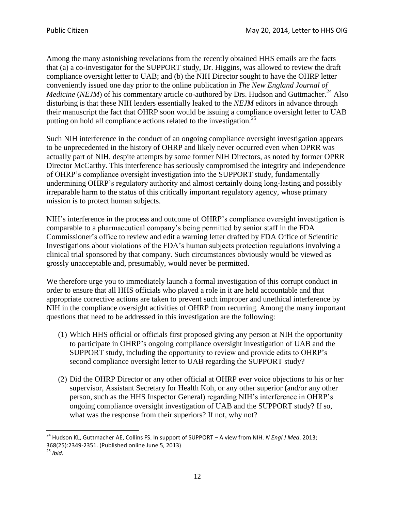Among the many astonishing revelations from the recently obtained HHS emails are the facts that (a) a co-investigator for the SUPPORT study, Dr. Higgins, was allowed to review the draft compliance oversight letter to UAB; and (b) the NIH Director sought to have the OHRP letter conveniently issued one day prior to the online publication in *The New England Journal of Medicine* (*NEJM*) of his commentary article co-authored by Drs. Hudson and Guttmacher.<sup>24</sup> Also disturbing is that these NIH leaders essentially leaked to the *NEJM* editors in advance through their manuscript the fact that OHRP soon would be issuing a compliance oversight letter to UAB putting on hold all compliance actions related to the investigation.<sup>25</sup>

Such NIH interference in the conduct of an ongoing compliance oversight investigation appears to be unprecedented in the history of OHRP and likely never occurred even when OPRR was actually part of NIH, despite attempts by some former NIH Directors, as noted by former OPRR Director McCarthy. This interference has seriously compromised the integrity and independence of OHRP's compliance oversight investigation into the SUPPORT study, fundamentally undermining OHRP's regulatory authority and almost certainly doing long-lasting and possibly irreparable harm to the status of this critically important regulatory agency, whose primary mission is to protect human subjects.

NIH's interference in the process and outcome of OHRP's compliance oversight investigation is comparable to a pharmaceutical company's being permitted by senior staff in the FDA Commissioner's office to review and edit a warning letter drafted by FDA Office of Scientific Investigations about violations of the FDA's human subjects protection regulations involving a clinical trial sponsored by that company. Such circumstances obviously would be viewed as grossly unacceptable and, presumably, would never be permitted.

We therefore urge you to immediately launch a formal investigation of this corrupt conduct in order to ensure that all HHS officials who played a role in it are held accountable and that appropriate corrective actions are taken to prevent such improper and unethical interference by NIH in the compliance oversight activities of OHRP from recurring. Among the many important questions that need to be addressed in this investigation are the following:

- (1) Which HHS official or officials first proposed giving any person at NIH the opportunity to participate in OHRP's ongoing compliance oversight investigation of UAB and the SUPPORT study, including the opportunity to review and provide edits to OHRP's second compliance oversight letter to UAB regarding the SUPPORT study?
- (2) Did the OHRP Director or any other official at OHRP ever voice objections to his or her supervisor, Assistant Secretary for Health Koh, or any other superior (and/or any other person, such as the HHS Inspector General) regarding NIH's interference in OHRP's ongoing compliance oversight investigation of UAB and the SUPPORT study? If so, what was the response from their superiors? If not, why not?

<sup>24</sup> Hudson KL, Guttmacher AE, Collins FS. In support of SUPPORT – A view from NIH. *N Engl J Med*. 2013; 368(25):2349-2351. (Published online June 5, 2013)

<sup>25</sup> *Ibid*.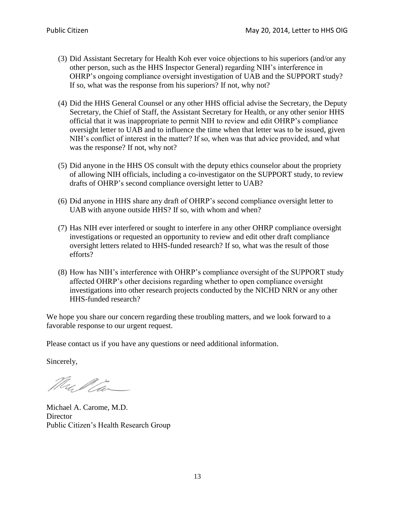- (3) Did Assistant Secretary for Health Koh ever voice objections to his superiors (and/or any other person, such as the HHS Inspector General) regarding NIH's interference in OHRP's ongoing compliance oversight investigation of UAB and the SUPPORT study? If so, what was the response from his superiors? If not, why not?
- (4) Did the HHS General Counsel or any other HHS official advise the Secretary, the Deputy Secretary, the Chief of Staff, the Assistant Secretary for Health, or any other senior HHS official that it was inappropriate to permit NIH to review and edit OHRP's compliance oversight letter to UAB and to influence the time when that letter was to be issued, given NIH's conflict of interest in the matter? If so, when was that advice provided, and what was the response? If not, why not?
- (5) Did anyone in the HHS OS consult with the deputy ethics counselor about the propriety of allowing NIH officials, including a co-investigator on the SUPPORT study, to review drafts of OHRP's second compliance oversight letter to UAB?
- (6) Did anyone in HHS share any draft of OHRP's second compliance oversight letter to UAB with anyone outside HHS? If so, with whom and when?
- (7) Has NIH ever interfered or sought to interfere in any other OHRP compliance oversight investigations or requested an opportunity to review and edit other draft compliance oversight letters related to HHS-funded research? If so, what was the result of those efforts?
- (8) How has NIH's interference with OHRP's compliance oversight of the SUPPORT study affected OHRP's other decisions regarding whether to open compliance oversight investigations into other research projects conducted by the NICHD NRN or any other HHS-funded research?

We hope you share our concern regarding these troubling matters, and we look forward to a favorable response to our urgent request.

Please contact us if you have any questions or need additional information.

Sincerely,

Mullia

Michael A. Carome, M.D. **Director** Public Citizen's Health Research Group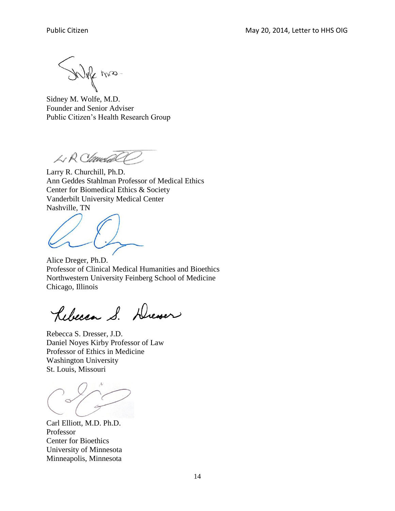Joffe miss-

Sidney M. Wolfe, M.D. Founder and Senior Adviser Public Citizen's Health Research Group

LR ClaudaCC

Larry R. Churchill, Ph.D. Ann Geddes Stahlman Professor of Medical Ethics Center for Biomedical Ethics & Society Vanderbilt University Medical Center Nashville, TN

Alice Dreger, Ph.D. Professor of Clinical Medical Humanities and Bioethics Northwestern University Feinberg School of Medicine Chicago, Illinois

Rebecca S. Dresser

Rebecca S. Dresser, J.D. Daniel Noyes Kirby Professor of Law Professor of Ethics in Medicine Washington University St. Louis, Missouri

Carl Elliott, M.D. Ph.D. Professor Center for Bioethics University of Minnesota Minneapolis, Minnesota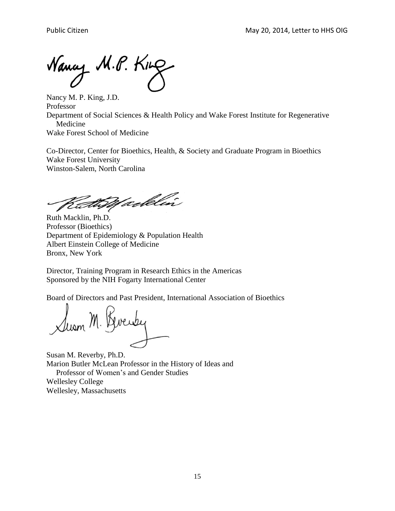Nancy M.P. King

Nancy M. P. King, J.D. Professor Department of Social Sciences & Health Policy and Wake Forest Institute for Regenerative Medicine Wake Forest School of Medicine

Co-Director, Center for Bioethics, Health, & Society and Graduate Program in Bioethics Wake Forest University Winston-Salem, North Carolina

CathWaddin

Ruth Macklin, Ph.D. Professor (Bioethics) Department of Epidemiology & Population Health Albert Einstein College of Medicine Bronx, New York

Director, Training Program in Research Ethics in the Americas Sponsored by the NIH Fogarty International Center

Board of Directors and Past President, International Association of Bioethics

lusm M.

Susan M. Reverby, Ph.D. Marion Butler McLean Professor in the History of Ideas and Professor of Women's and Gender Studies Wellesley College Wellesley, Massachusetts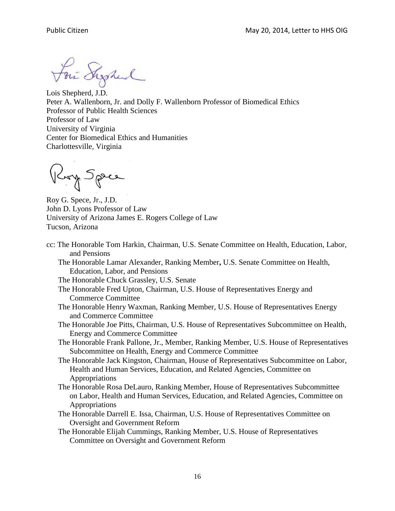For Syred

Lois Shepherd, J.D. Peter A. Wallenborn, Jr. and Dolly F. Wallenborn Professor of Biomedical Ethics Professor of Public Health Sciences Professor of Law University of Virginia Center for Biomedical Ethics and Humanities Charlottesville, Virginia

Roy Spee

Roy G. Spece, Jr., J.D. John D. Lyons Professor of Law University of Arizona James E. Rogers College of Law Tucson, Arizona

- cc: The Honorable Tom Harkin, Chairman, U.S. Senate Committee on Health, Education, Labor, and Pensions
	- The Honorable Lamar Alexander, Ranking Member**,** U.S. Senate Committee on Health, Education, Labor, and Pensions
	- The Honorable Chuck Grassley, U.S. Senate
	- The Honorable Fred Upton, Chairman, U.S. House of Representatives Energy and Commerce Committee
	- The Honorable Henry Waxman, Ranking Member, U.S. House of Representatives Energy and Commerce Committee
	- The Honorable Joe Pitts, Chairman, U.S. House of Representatives Subcommittee on Health, Energy and Commerce Committee
	- The Honorable Frank Pallone, Jr., Member, Ranking Member, U.S. House of Representatives Subcommittee on Health, Energy and Commerce Committee
	- The Honorable Jack Kingston, Chairman, House of Representatives Subcommittee on Labor, Health and Human Services, Education, and Related Agencies, Committee on Appropriations
	- The Honorable Rosa DeLauro, Ranking Member, House of Representatives Subcommittee on Labor, Health and Human Services, Education, and Related Agencies, Committee on Appropriations
	- The Honorable Darrell E. Issa, Chairman, U.S. House of Representatives Committee on Oversight and Government Reform
	- The Honorable Elijah Cummings, Ranking Member, U.S. House of Representatives Committee on Oversight and Government Reform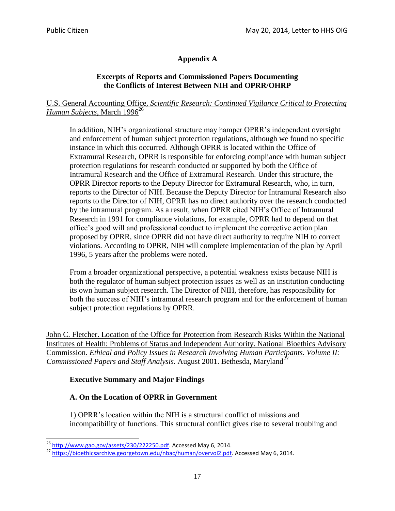# **Appendix A**

## **Excerpts of Reports and Commissioned Papers Documenting the Conflicts of Interest Between NIH and OPRR/OHRP**

## U.S. General Accounting Office*, Scientific Research: Continued Vigilance Critical to Protecting Human Subjects*, March 1996<sup>26</sup>

In addition, NIH's organizational structure may hamper OPRR's independent oversight and enforcement of human subject protection regulations, although we found no specific instance in which this occurred. Although OPRR is located within the Office of Extramural Research, OPRR is responsible for enforcing compliance with human subject protection regulations for research conducted or supported by both the Office of Intramural Research and the Office of Extramural Research. Under this structure, the OPRR Director reports to the Deputy Director for Extramural Research, who, in turn, reports to the Director of NIH. Because the Deputy Director for Intramural Research also reports to the Director of NIH, OPRR has no direct authority over the research conducted by the intramural program. As a result, when OPRR cited NIH's Office of Intramural Research in 1991 for compliance violations, for example, OPRR had to depend on that office's good will and professional conduct to implement the corrective action plan proposed by OPRR, since OPRR did not have direct authority to require NIH to correct violations. According to OPRR, NIH will complete implementation of the plan by April 1996, 5 years after the problems were noted.

From a broader organizational perspective, a potential weakness exists because NIH is both the regulator of human subject protection issues as well as an institution conducting its own human subject research. The Director of NIH, therefore, has responsibility for both the success of NIH's intramural research program and for the enforcement of human subject protection regulations by OPRR.

John C. Fletcher. Location of the Office for Protection from Research Risks Within the National Institutes of Health: Problems of Status and Independent Authority. National Bioethics Advisory Commission. *Ethical and Policy Issues in Research Involving Human Participants. Volume II: Commissioned Papers and Staff Analysis.* August 2001. Bethesda, Maryland<sup>27</sup>

## **Executive Summary and Major Findings**

## **A. On the Location of OPRR in Government**

1) OPRR's location within the NIH is a structural conflict of missions and incompatibility of functions. This structural conflict gives rise to several troubling and

<sup>&</sup>lt;sup>26</sup> [http://www.gao.gov/assets/230/222250.pdf.](http://www.gao.gov/assets/230/222250.pdf) Accessed May 6, 2014.

<sup>&</sup>lt;sup>27</sup> [https://bioethicsarchive.georgetown.edu/nbac/human/overvol2.pdf.](https://bioethicsarchive.georgetown.edu/nbac/human/overvol2.pdf) Accessed May 6, 2014.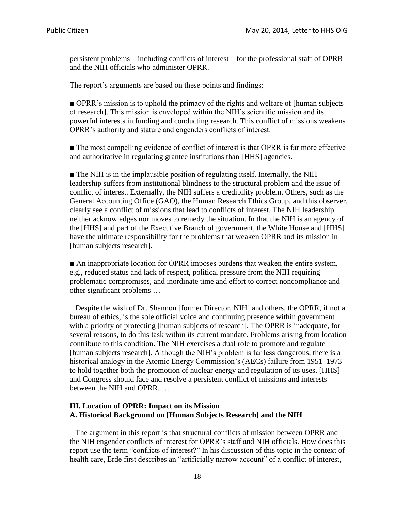persistent problems—including conflicts of interest—for the professional staff of OPRR and the NIH officials who administer OPRR.

The report's arguments are based on these points and findings:

■ OPRR's mission is to uphold the primacy of the rights and welfare of [human subjects] of research]. This mission is enveloped within the NIH's scientific mission and its powerful interests in funding and conducting research. This conflict of missions weakens OPRR's authority and stature and engenders conflicts of interest.

■ The most compelling evidence of conflict of interest is that OPRR is far more effective and authoritative in regulating grantee institutions than [HHS] agencies.

■ The NIH is in the implausible position of regulating itself. Internally, the NIH leadership suffers from institutional blindness to the structural problem and the issue of conflict of interest. Externally, the NIH suffers a credibility problem. Others, such as the General Accounting Office (GAO), the Human Research Ethics Group, and this observer, clearly see a conflict of missions that lead to conflicts of interest. The NIH leadership neither acknowledges nor moves to remedy the situation. In that the NIH is an agency of the [HHS] and part of the Executive Branch of government, the White House and [HHS] have the ultimate responsibility for the problems that weaken OPRR and its mission in [human subjects research].

■ An inappropriate location for OPRR imposes burdens that weaken the entire system, e.g., reduced status and lack of respect, political pressure from the NIH requiring problematic compromises, and inordinate time and effort to correct noncompliance and other significant problems …

 Despite the wish of Dr. Shannon [former Director, NIH] and others, the OPRR, if not a bureau of ethics, is the sole official voice and continuing presence within government with a priority of protecting [human subjects of research]. The OPRR is inadequate, for several reasons, to do this task within its current mandate. Problems arising from location contribute to this condition. The NIH exercises a dual role to promote and regulate [human subjects research]. Although the NIH's problem is far less dangerous, there is a historical analogy in the Atomic Energy Commission's (AECs) failure from 1951–1973 to hold together both the promotion of nuclear energy and regulation of its uses. [HHS] and Congress should face and resolve a persistent conflict of missions and interests between the NIH and OPRR. …

## **III. Location of OPRR: Impact on its Mission A. Historical Background on [Human Subjects Research] and the NIH**

 The argument in this report is that structural conflicts of mission between OPRR and the NIH engender conflicts of interest for OPRR's staff and NIH officials. How does this report use the term "conflicts of interest?" In his discussion of this topic in the context of health care, Erde first describes an "artificially narrow account" of a conflict of interest,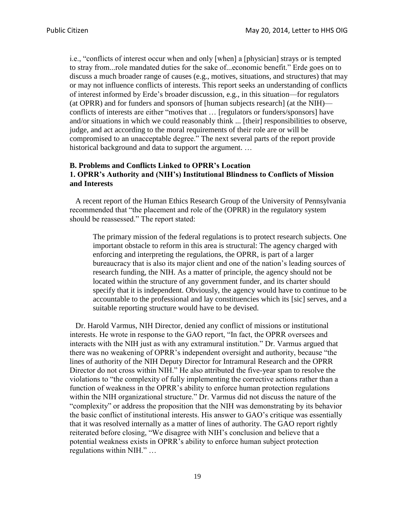i.e., "conflicts of interest occur when and only [when] a [physician] strays or is tempted to stray from...role mandated duties for the sake of...economic benefit." Erde goes on to discuss a much broader range of causes (e.g., motives, situations, and structures) that may or may not influence conflicts of interests. This report seeks an understanding of conflicts of interest informed by Erde's broader discussion, e.g., in this situation—for regulators (at OPRR) and for funders and sponsors of [human subjects research] (at the NIH) conflicts of interests are either "motives that … [regulators or funders/sponsors] have and/or situations in which we could reasonably think ... [their] responsibilities to observe, judge, and act according to the moral requirements of their role are or will be compromised to an unacceptable degree." The next several parts of the report provide historical background and data to support the argument. ...

#### **B. Problems and Conflicts Linked to OPRR's Location 1. OPRR's Authority and (NIH's) Institutional Blindness to Conflicts of Mission and Interests**

 A recent report of the Human Ethics Research Group of the University of Pennsylvania recommended that "the placement and role of the (OPRR) in the regulatory system should be reassessed." The report stated:

The primary mission of the federal regulations is to protect research subjects. One important obstacle to reform in this area is structural: The agency charged with enforcing and interpreting the regulations, the OPRR, is part of a larger bureaucracy that is also its major client and one of the nation's leading sources of research funding, the NIH. As a matter of principle, the agency should not be located within the structure of any government funder, and its charter should specify that it is independent. Obviously, the agency would have to continue to be accountable to the professional and lay constituencies which its [sic] serves, and a suitable reporting structure would have to be devised.

 Dr. Harold Varmus, NIH Director, denied any conflict of missions or institutional interests. He wrote in response to the GAO report, "In fact, the OPRR oversees and interacts with the NIH just as with any extramural institution." Dr. Varmus argued that there was no weakening of OPRR's independent oversight and authority, because "the lines of authority of the NIH Deputy Director for Intramural Research and the OPRR Director do not cross within NIH." He also attributed the five-year span to resolve the violations to "the complexity of fully implementing the corrective actions rather than a function of weakness in the OPRR's ability to enforce human protection regulations within the NIH organizational structure." Dr. Varmus did not discuss the nature of the "complexity" or address the proposition that the NIH was demonstrating by its behavior the basic conflict of institutional interests. His answer to GAO's critique was essentially that it was resolved internally as a matter of lines of authority. The GAO report rightly reiterated before closing, "We disagree with NIH's conclusion and believe that a potential weakness exists in OPRR's ability to enforce human subject protection regulations within NIH." …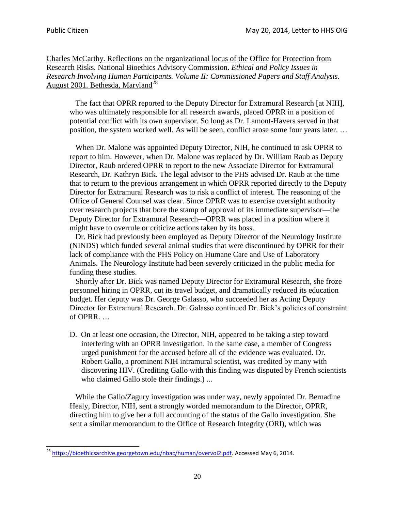$\overline{a}$ 

Charles McCarthy. Reflections on the organizational locus of the Office for Protection from Research Risks. National Bioethics Advisory Commission. *Ethical and Policy Issues in Research Involving Human Participants. Volume II: Commissioned Papers and Staff Analysis.*  August 2001. Bethesda, Maryland<sup>28</sup>

 The fact that OPRR reported to the Deputy Director for Extramural Research [at NIH], who was ultimately responsible for all research awards, placed OPRR in a position of potential conflict with its own supervisor. So long as Dr. Lamont-Havers served in that position, the system worked well. As will be seen, conflict arose some four years later. …

 When Dr. Malone was appointed Deputy Director, NIH, he continued to ask OPRR to report to him. However, when Dr. Malone was replaced by Dr. William Raub as Deputy Director, Raub ordered OPRR to report to the new Associate Director for Extramural Research, Dr. Kathryn Bick. The legal advisor to the PHS advised Dr. Raub at the time that to return to the previous arrangement in which OPRR reported directly to the Deputy Director for Extramural Research was to risk a conflict of interest. The reasoning of the Office of General Counsel was clear. Since OPRR was to exercise oversight authority over research projects that bore the stamp of approval of its immediate supervisor—the Deputy Director for Extramural Research—OPRR was placed in a position where it might have to overrule or criticize actions taken by its boss.

 Dr. Bick had previously been employed as Deputy Director of the Neurology Institute (NINDS) which funded several animal studies that were discontinued by OPRR for their lack of compliance with the PHS Policy on Humane Care and Use of Laboratory Animals. The Neurology Institute had been severely criticized in the public media for funding these studies.

 Shortly after Dr. Bick was named Deputy Director for Extramural Research, she froze personnel hiring in OPRR, cut its travel budget, and dramatically reduced its education budget. Her deputy was Dr. George Galasso, who succeeded her as Acting Deputy Director for Extramural Research. Dr. Galasso continued Dr. Bick's policies of constraint of OPRR. …

D. On at least one occasion, the Director, NIH, appeared to be taking a step toward interfering with an OPRR investigation. In the same case, a member of Congress urged punishment for the accused before all of the evidence was evaluated. Dr. Robert Gallo, a prominent NIH intramural scientist, was credited by many with discovering HIV. (Crediting Gallo with this finding was disputed by French scientists who claimed Gallo stole their findings.) ...

 While the Gallo/Zagury investigation was under way, newly appointed Dr. Bernadine Healy, Director, NIH, sent a strongly worded memorandum to the Director, OPRR, directing him to give her a full accounting of the status of the Gallo investigation. She sent a similar memorandum to the Office of Research Integrity (ORI), which was

<sup>&</sup>lt;sup>28</sup> [https://bioethicsarchive.georgetown.edu/nbac/human/overvol2.pdf.](https://bioethicsarchive.georgetown.edu/nbac/human/overvol2.pdf) Accessed May 6, 2014.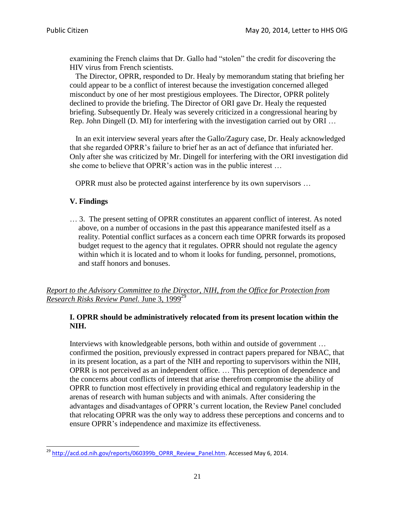examining the French claims that Dr. Gallo had "stolen" the credit for discovering the HIV virus from French scientists.

 The Director, OPRR, responded to Dr. Healy by memorandum stating that briefing her could appear to be a conflict of interest because the investigation concerned alleged misconduct by one of her most prestigious employees. The Director, OPRR politely declined to provide the briefing. The Director of ORI gave Dr. Healy the requested briefing. Subsequently Dr. Healy was severely criticized in a congressional hearing by Rep. John Dingell (D. MI) for interfering with the investigation carried out by ORI …

 In an exit interview several years after the Gallo/Zagury case, Dr. Healy acknowledged that she regarded OPRR's failure to brief her as an act of defiance that infuriated her. Only after she was criticized by Mr. Dingell for interfering with the ORI investigation did she come to believe that OPRR's action was in the public interest …

OPRR must also be protected against interference by its own supervisors …

## **V. Findings**

 $\overline{a}$ 

… 3. The present setting of OPRR constitutes an apparent conflict of interest. As noted above, on a number of occasions in the past this appearance manifested itself as a reality. Potential conflict surfaces as a concern each time OPRR forwards its proposed budget request to the agency that it regulates. OPRR should not regulate the agency within which it is located and to whom it looks for funding, personnel, promotions, and staff honors and bonuses.

*Report to the Advisory Committee to the Director, NIH, from the Office for Protection from Research Risks Review Panel.* June 3, 1999<sup>29</sup>

## **I. OPRR should be administratively relocated from its present location within the NIH.**

Interviews with knowledgeable persons, both within and outside of government … confirmed the position, previously expressed in contract papers prepared for NBAC, that in its present location, as a part of the NIH and reporting to supervisors within the NIH, OPRR is not perceived as an independent office. … This perception of dependence and the concerns about conflicts of interest that arise therefrom compromise the ability of OPRR to function most effectively in providing ethical and regulatory leadership in the arenas of research with human subjects and with animals. After considering the advantages and disadvantages of OPRR's current location, the Review Panel concluded that relocating OPRR was the only way to address these perceptions and concerns and to ensure OPRR's independence and maximize its effectiveness.

<sup>&</sup>lt;sup>29</sup> [http://acd.od.nih.gov/reports/060399b\\_OPRR\\_Review\\_Panel.htm.](http://acd.od.nih.gov/reports/060399b_OPRR_Review_Panel.htm) Accessed May 6, 2014.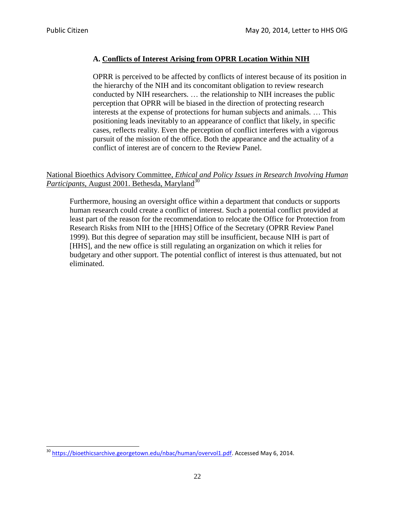$\overline{a}$ 

## **A. Conflicts of Interest Arising from OPRR Location Within NIH**

OPRR is perceived to be affected by conflicts of interest because of its position in the hierarchy of the NIH and its concomitant obligation to review research conducted by NIH researchers. … the relationship to NIH increases the public perception that OPRR will be biased in the direction of protecting research interests at the expense of protections for human subjects and animals. … This positioning leads inevitably to an appearance of conflict that likely, in specific cases, reflects reality. Even the perception of conflict interferes with a vigorous pursuit of the mission of the office. Both the appearance and the actuality of a conflict of interest are of concern to the Review Panel.

## National Bioethics Advisory Committee, *Ethical and Policy Issues in Research Involving Human Participants*, August 2001. Bethesda, Maryland<sup>30</sup>

Furthermore, housing an oversight office within a department that conducts or supports human research could create a conflict of interest. Such a potential conflict provided at least part of the reason for the recommendation to relocate the Office for Protection from Research Risks from NIH to the [HHS] Office of the Secretary (OPRR Review Panel 1999). But this degree of separation may still be insufficient, because NIH is part of [HHS], and the new office is still regulating an organization on which it relies for budgetary and other support. The potential conflict of interest is thus attenuated, but not eliminated.

<sup>&</sup>lt;sup>30</sup> [https://bioethicsarchive.georgetown.edu/nbac/human/overvol1.pdf.](https://bioethicsarchive.georgetown.edu/nbac/human/overvol1.pdf) Accessed May 6, 2014.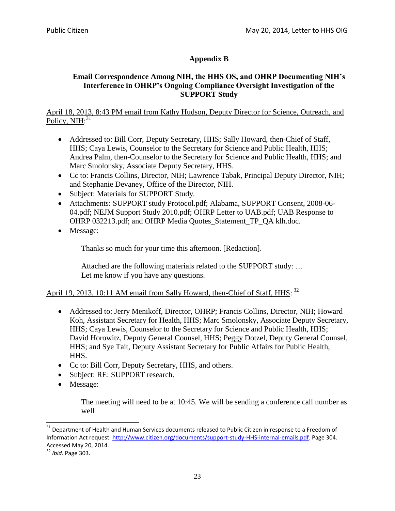# **Appendix B**

## **Email Correspondence Among NIH, the HHS OS, and OHRP Documenting NIH's Interference in OHRP's Ongoing Compliance Oversight Investigation of the SUPPORT Study**

April 18, 2013, 8:43 PM email from Kathy Hudson, Deputy Director for Science, Outreach, and Policy, NIH:<sup>31</sup>

- Addressed to: Bill Corr, Deputy Secretary, HHS; Sally Howard, then-Chief of Staff, HHS; Caya Lewis, Counselor to the Secretary for Science and Public Health, HHS; Andrea Palm, then-Counselor to the Secretary for Science and Public Health, HHS; and Marc Smolonsky, Associate Deputy Secretary, HHS.
- Cc to: Francis Collins, Director, NIH; Lawrence Tabak, Principal Deputy Director, NIH; and Stephanie Devaney, Office of the Director, NIH.
- Subject: Materials for SUPPORT Study.
- Attachments: SUPPORT study Protocol.pdf; Alabama, SUPPORT Consent, 2008-06- 04.pdf; NEJM Support Study 2010.pdf; OHRP Letter to UAB.pdf; UAB Response to OHRP 032213.pdf; and OHRP Media Quotes\_Statement\_TP\_QA klh.doc.
- Message:

Thanks so much for your time this afternoon. [Redaction].

Attached are the following materials related to the SUPPORT study: … Let me know if you have any questions.

## April 19, 2013, 10:11 AM email from Sally Howard, then-Chief of Staff, HHS: <sup>32</sup>

- Addressed to: Jerry Menikoff, Director, OHRP; Francis Collins, Director, NIH; Howard Koh, Assistant Secretary for Health, HHS; Marc Smolonsky, Associate Deputy Secretary, HHS; Caya Lewis, Counselor to the Secretary for Science and Public Health, HHS; David Horowitz, Deputy General Counsel, HHS; Peggy Dotzel, Deputy General Counsel, HHS; and Sye Tait, Deputy Assistant Secretary for Public Affairs for Public Health, HHS.
- Cc to: Bill Corr, Deputy Secretary, HHS, and others.
- Subject: RE: SUPPORT research.
- Message:

The meeting will need to be at 10:45. We will be sending a conference call number as well

l

<sup>&</sup>lt;sup>31</sup> Department of Health and Human Services documents released to Public Citizen in response to a Freedom of Information Act request. [http://www.citizen.org/documents/support-study-HHS-internal-emails.pdf.](http://www.citizen.org/documents/support-study-HHS-internal-emails.pdf) Page 304. Accessed May 20, 2014.

<sup>32</sup> *Ibid*. Page 303.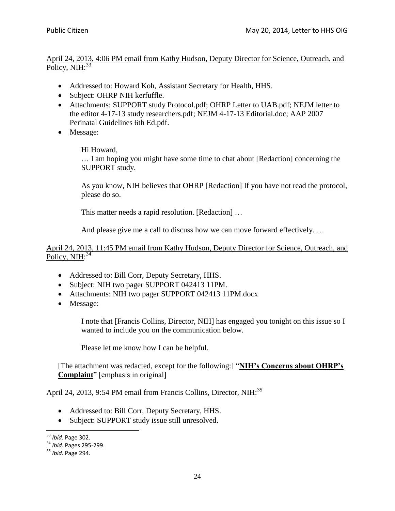### April 24, 2013, 4:06 PM email from Kathy Hudson, Deputy Director for Science, Outreach, and Policy, NIH:<sup>33</sup>

- Addressed to: Howard Koh, Assistant Secretary for Health, HHS.
- Subject: OHRP NIH kerfuffle.
- Attachments: SUPPORT study Protocol.pdf; OHRP Letter to UAB.pdf; NEJM letter to the editor 4-17-13 study researchers.pdf; NEJM 4-17-13 Editorial.doc; AAP 2007 Perinatal Guidelines 6th Ed.pdf.
- Message:

#### Hi Howard,

… I am hoping you might have some time to chat about [Redaction] concerning the SUPPORT study.

As you know, NIH believes that OHRP [Redaction] If you have not read the protocol, please do so.

This matter needs a rapid resolution. [Redaction] …

And please give me a call to discuss how we can move forward effectively. …

#### April 24, 2013, 11:45 PM email from Kathy Hudson, Deputy Director for Science, Outreach, and Policy, NIH:<sup>34</sup>

- Addressed to: Bill Corr, Deputy Secretary, HHS.
- Subject: NIH two pager SUPPORT 042413 11PM.
- Attachments: NIH two pager SUPPORT 042413 11PM.docx
- Message:

I note that [Francis Collins, Director, NIH] has engaged you tonight on this issue so I wanted to include you on the communication below.

Please let me know how I can be helpful.

[The attachment was redacted, except for the following:] "**NIH's Concerns about OHRP's Complaint**" [emphasis in original]

## April 24, 2013, 9:54 PM email from Francis Collins, Director, NIH:<sup>35</sup>

- Addressed to: Bill Corr, Deputy Secretary, HHS.
- Subject: SUPPORT study issue still unresolved.

 $\overline{a}$ <sup>33</sup> *Ibid*. Page 302.

<sup>34</sup> *Ibid*. Pages 295-299.

<sup>35</sup> *Ibid*. Page 294.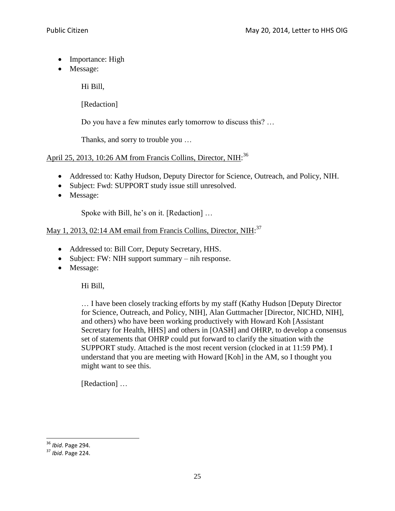- Importance: High
- Message:

Hi Bill,

[Redaction]

Do you have a few minutes early tomorrow to discuss this? …

Thanks, and sorry to trouble you …

## April 25, 2013, 10:26 AM from Francis Collins, Director, NIH:<sup>36</sup>

- Addressed to: Kathy Hudson, Deputy Director for Science, Outreach, and Policy, NIH.
- Subject: Fwd: SUPPORT study issue still unresolved.
- Message:

Spoke with Bill, he's on it. [Redaction] …

## May 1, 2013, 02:14 AM email from Francis Collins, Director, NIH:<sup>37</sup>

- Addressed to: Bill Corr, Deputy Secretary, HHS.
- Subject: FW: NIH support summary nih response.
- Message:

Hi Bill,

… I have been closely tracking efforts by my staff (Kathy Hudson [Deputy Director for Science, Outreach, and Policy, NIH], Alan Guttmacher [Director, NICHD, NIH], and others) who have been working productively with Howard Koh [Assistant Secretary for Health, HHS] and others in [OASH] and OHRP, to develop a consensus set of statements that OHRP could put forward to clarify the situation with the SUPPORT study. Attached is the most recent version (clocked in at 11:59 PM). I understand that you are meeting with Howard [Koh] in the AM, so I thought you might want to see this.

[Redaction] ...

<sup>36</sup> *Ibid*. Page 294.

<sup>37</sup> *Ibid*. Page 224.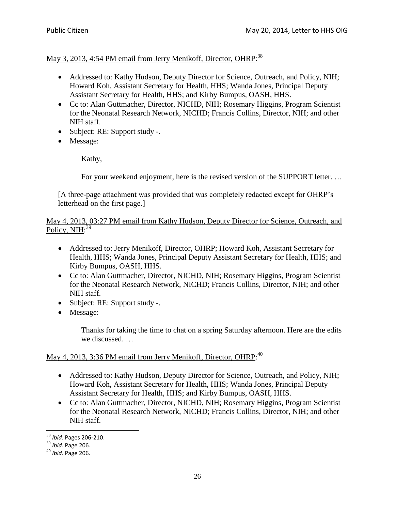# May 3, 2013, 4:54 PM email from Jerry Menikoff, Director, OHRP:<sup>38</sup>

- Addressed to: Kathy Hudson, Deputy Director for Science, Outreach, and Policy, NIH; Howard Koh, Assistant Secretary for Health, HHS; Wanda Jones, Principal Deputy Assistant Secretary for Health, HHS; and Kirby Bumpus, OASH, HHS.
- Cc to: Alan Guttmacher, Director, NICHD, NIH; Rosemary Higgins, Program Scientist for the Neonatal Research Network, NICHD; Francis Collins, Director, NIH; and other NIH staff.
- Subject: RE: Support study -.
- Message:

Kathy,

For your weekend enjoyment, here is the revised version of the SUPPORT letter. …

[A three-page attachment was provided that was completely redacted except for OHRP's letterhead on the first page.]

May 4, 2013, 03:27 PM email from Kathy Hudson, Deputy Director for Science, Outreach, and Policy, NIH:<sup>39</sup>

- Addressed to: Jerry Menikoff, Director, OHRP; Howard Koh, Assistant Secretary for Health, HHS; Wanda Jones, Principal Deputy Assistant Secretary for Health, HHS; and Kirby Bumpus, OASH, HHS.
- Cc to: Alan Guttmacher, Director, NICHD, NIH; Rosemary Higgins, Program Scientist for the Neonatal Research Network, NICHD; Francis Collins, Director, NIH; and other NIH staff.
- Subject: RE: Support study -.
- Message:

Thanks for taking the time to chat on a spring Saturday afternoon. Here are the edits we discussed. …

## May 4, 2013, 3:36 PM email from Jerry Menikoff, Director, OHRP:<sup>40</sup>

- Addressed to: Kathy Hudson, Deputy Director for Science, Outreach, and Policy, NIH; Howard Koh, Assistant Secretary for Health, HHS; Wanda Jones, Principal Deputy Assistant Secretary for Health, HHS; and Kirby Bumpus, OASH, HHS.
- Cc to: Alan Guttmacher, Director, NICHD, NIH; Rosemary Higgins, Program Scientist for the Neonatal Research Network, NICHD; Francis Collins, Director, NIH; and other NIH staff.

<sup>38</sup> *Ibid*. Pages 206-210.

<sup>39</sup> *Ibid*. Page 206.

<sup>40</sup> *Ibid*. Page 206.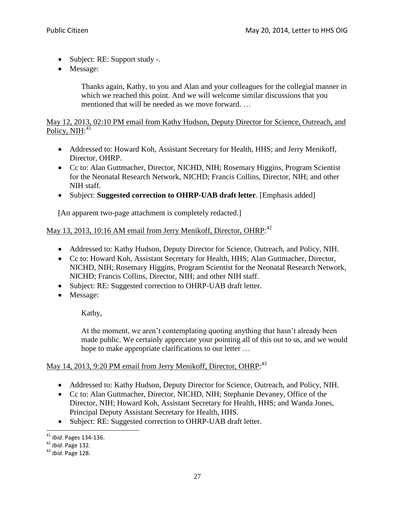- Subject: RE: Support study -.
- Message:

Thanks again, Kathy, to you and Alan and your colleagues for the collegial manner in which we reached this point. And we will welcome similar discussions that you mentioned that will be needed as we move forward. …

## May 12, 2013, 02:10 PM email from Kathy Hudson, Deputy Director for Science, Outreach, and Policy, NIH:<sup>41</sup>

- Addressed to: Howard Koh, Assistant Secretary for Health, HHS; and Jerry Menikoff, Director, OHRP.
- Cc to: Alan Guttmacher, Director, NICHD, NIH; Rosemary Higgins, Program Scientist for the Neonatal Research Network, NICHD; Francis Collins, Director, NIH; and other NIH staff.
- Subject: **Suggested correction to OHRP-UAB draft letter**. [Emphasis added]

[An apparent two-page attachment is completely redacted.]

# May 13, 2013, 10:16 AM email from Jerry Menikoff, Director, OHRP:<sup>42</sup>

- Addressed to: Kathy Hudson, Deputy Director for Science, Outreach, and Policy, NIH.
- Cc to: Howard Koh, Assistant Secretary for Health, HHS; Alan Guttmacher, Director, NICHD, NIH; Rosemary Higgins, Program Scientist for the Neonatal Research Network, NICHD; Francis Collins, Director, NIH; and other NIH staff.
- Subject: RE: Suggested correction to OHRP-UAB draft letter.
- Message:

Kathy,

At the moment, we aren't contemplating quoting anything that hasn't already been made public. We certainly appreciate your pointing all of this out to us, and we would hope to make appropriate clarifications to our letter …

# May 14, 2013, 9:20 PM email from Jerry Menikoff, Director, OHRP:<sup>43</sup>

- Addressed to: Kathy Hudson, Deputy Director for Science, Outreach, and Policy, NIH.
- Cc to: Alan Guttmacher, Director, NICHD, NIH; Stephanie Devaney, Office of the Director, NIH; Howard Koh, Assistant Secretary for Health, HHS; and Wanda Jones, Principal Deputy Assistant Secretary for Health, HHS.
- Subject: RE: Suggested correction to OHRP-UAB draft letter.

 $\overline{a}$ <sup>41</sup> *Ibid*. Pages 134-136.

<sup>42</sup> *Ibid*. Page 132.

<sup>43</sup> *Ibid*. Page 128.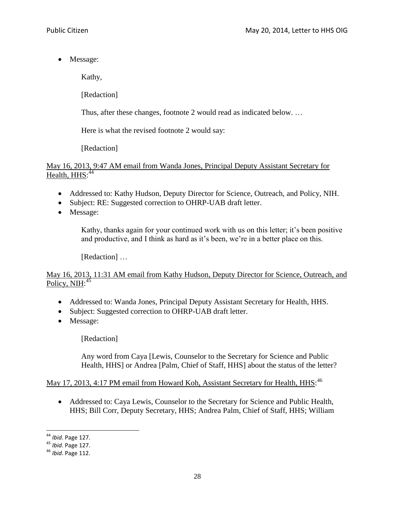• Message:

Kathy,

[Redaction]

Thus, after these changes, footnote 2 would read as indicated below. …

Here is what the revised footnote 2 would say:

[Redaction]

May 16, 2013, 9:47 AM email from Wanda Jones, Principal Deputy Assistant Secretary for Health, HHS:<sup>44</sup>

- Addressed to: Kathy Hudson, Deputy Director for Science, Outreach, and Policy, NIH.
- Subject: RE: Suggested correction to OHRP-UAB draft letter.
- Message:

Kathy, thanks again for your continued work with us on this letter; it's been positive and productive, and I think as hard as it's been, we're in a better place on this.

[Redaction] ...

## May 16, 2013, 11:31 AM email from Kathy Hudson, Deputy Director for Science, Outreach, and Policy, NIH:<sup>45</sup>

- Addressed to: Wanda Jones, Principal Deputy Assistant Secretary for Health, HHS.
- Subject: Suggested correction to OHRP-UAB draft letter.
- Message:

[Redaction]

Any word from Caya [Lewis, Counselor to the Secretary for Science and Public Health, HHS] or Andrea [Palm, Chief of Staff, HHS] about the status of the letter?

May 17, 2013, 4:17 PM email from Howard Koh, Assistant Secretary for Health, HHS.<sup>46</sup>

 Addressed to: Caya Lewis, Counselor to the Secretary for Science and Public Health, HHS; Bill Corr, Deputy Secretary, HHS; Andrea Palm, Chief of Staff, HHS; William

 $\overline{a}$ <sup>44</sup> *Ibid*. Page 127.

<sup>45</sup> *Ibid*. Page 127.

<sup>46</sup> *Ibid*. Page 112.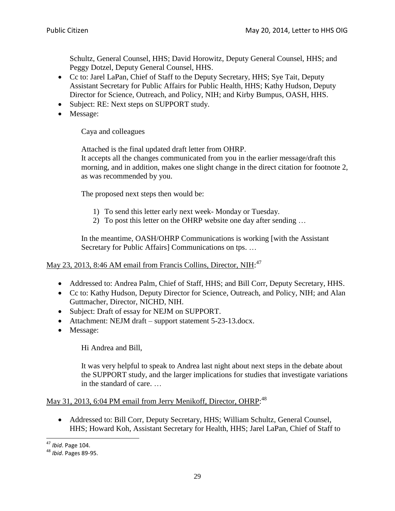Schultz, General Counsel, HHS; David Horowitz, Deputy General Counsel, HHS; and Peggy Dotzel, Deputy General Counsel, HHS.

- Cc to: Jarel LaPan, Chief of Staff to the Deputy Secretary, HHS; Sye Tait, Deputy Assistant Secretary for Public Affairs for Public Health, HHS; Kathy Hudson, Deputy Director for Science, Outreach, and Policy, NIH; and Kirby Bumpus, OASH, HHS.
- Subject: RE: Next steps on SUPPORT study.
- Message:

Caya and colleagues

Attached is the final updated draft letter from OHRP.

It accepts all the changes communicated from you in the earlier message/draft this morning, and in addition, makes one slight change in the direct citation for footnote 2, as was recommended by you.

The proposed next steps then would be:

- 1) To send this letter early next week- Monday or Tuesday.
- 2) To post this letter on the OHRP website one day after sending …

In the meantime, OASH/OHRP Communications is working [with the Assistant Secretary for Public Affairs] Communications on tps. …

## May 23, 2013, 8:46 AM email from Francis Collins, Director, NIH:<sup>47</sup>

- Addressed to: Andrea Palm, Chief of Staff, HHS; and Bill Corr, Deputy Secretary, HHS.
- Cc to: Kathy Hudson, Deputy Director for Science, Outreach, and Policy, NIH; and Alan Guttmacher, Director, NICHD, NIH.
- Subject: Draft of essay for NEJM on SUPPORT.
- Attachment: NEJM draft support statement 5-23-13.docx.
- Message:

Hi Andrea and Bill,

It was very helpful to speak to Andrea last night about next steps in the debate about the SUPPORT study, and the larger implications for studies that investigate variations in the standard of care. …

## May 31, 2013, 6:04 PM email from Jerry Menikoff, Director, OHRP:<sup>48</sup>

 Addressed to: Bill Corr, Deputy Secretary, HHS; William Schultz, General Counsel, HHS; Howard Koh, Assistant Secretary for Health, HHS; Jarel LaPan, Chief of Staff to

 $\overline{a}$ <sup>47</sup> *Ibid*. Page 104.

<sup>48</sup> *Ibid*. Pages 89-95.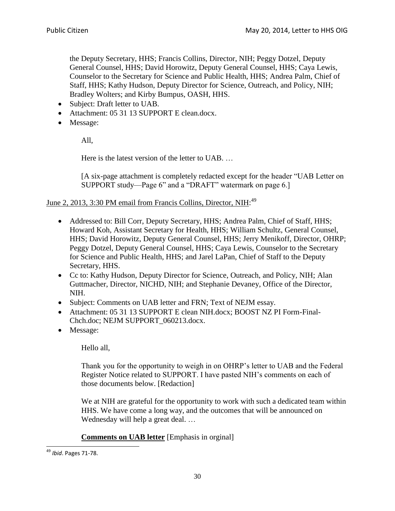the Deputy Secretary, HHS; Francis Collins, Director, NIH; Peggy Dotzel, Deputy General Counsel, HHS; David Horowitz, Deputy General Counsel, HHS; Caya Lewis, Counselor to the Secretary for Science and Public Health, HHS; Andrea Palm, Chief of Staff, HHS; Kathy Hudson, Deputy Director for Science, Outreach, and Policy, NIH; Bradley Wolters; and Kirby Bumpus, OASH, HHS.

- Subject: Draft letter to UAB.
- Attachment: 05 31 13 SUPPORT E clean.docx.
- Message:

All,

Here is the latest version of the letter to UAB. …

[A six-page attachment is completely redacted except for the header "UAB Letter on SUPPORT study—Page 6" and a "DRAFT" watermark on page 6.]

## June 2, 2013, 3:30 PM email from Francis Collins, Director, NIH:<sup>49</sup>

- Addressed to: Bill Corr, Deputy Secretary, HHS; Andrea Palm, Chief of Staff, HHS; Howard Koh, Assistant Secretary for Health, HHS; William Schultz, General Counsel, HHS; David Horowitz, Deputy General Counsel, HHS; Jerry Menikoff, Director, OHRP; Peggy Dotzel, Deputy General Counsel, HHS; Caya Lewis, Counselor to the Secretary for Science and Public Health, HHS; and Jarel LaPan, Chief of Staff to the Deputy Secretary, HHS.
- Cc to: Kathy Hudson, Deputy Director for Science, Outreach, and Policy, NIH; Alan Guttmacher, Director, NICHD, NIH; and Stephanie Devaney, Office of the Director, NIH.
- Subject: Comments on UAB letter and FRN; Text of NEJM essay.
- Attachment: 05 31 13 SUPPORT E clean NIH.docx; BOOST NZ PI Form-Final-Chch.doc; NEJM SUPPORT\_060213.docx.
- Message:

Hello all,

Thank you for the opportunity to weigh in on OHRP's letter to UAB and the Federal Register Notice related to SUPPORT. I have pasted NIH's comments on each of those documents below. [Redaction]

We at NIH are grateful for the opportunity to work with such a dedicated team within HHS. We have come a long way, and the outcomes that will be announced on Wednesday will help a great deal. …

## **Comments on UAB letter** [Emphasis in orginal]

<sup>49</sup> *Ibid*. Pages 71-78.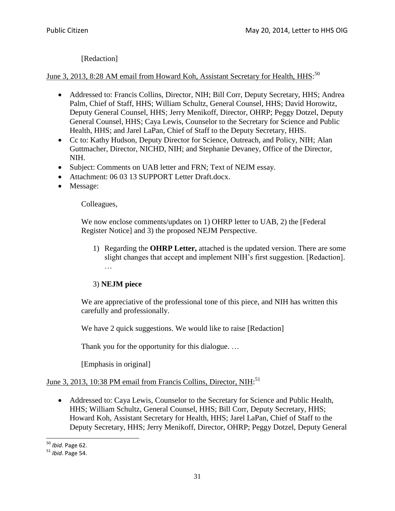[Redaction]

## June 3, 2013, 8:28 AM email from Howard Koh, Assistant Secretary for Health, HHS.<sup>50</sup>

- Addressed to: Francis Collins, Director, NIH; Bill Corr, Deputy Secretary, HHS; Andrea Palm, Chief of Staff, HHS; William Schultz, General Counsel, HHS; David Horowitz, Deputy General Counsel, HHS; Jerry Menikoff, Director, OHRP; Peggy Dotzel, Deputy General Counsel, HHS; Caya Lewis, Counselor to the Secretary for Science and Public Health, HHS; and Jarel LaPan, Chief of Staff to the Deputy Secretary, HHS.
- Cc to: Kathy Hudson, Deputy Director for Science, Outreach, and Policy, NIH; Alan Guttmacher, Director, NICHD, NIH; and Stephanie Devaney, Office of the Director, NIH.
- Subject: Comments on UAB letter and FRN; Text of NEJM essay.
- Attachment: 06 03 13 SUPPORT Letter Draft.docx.
- Message:

#### Colleagues,

We now enclose comments/updates on 1) OHRP letter to UAB, 2) the [Federal Register Notice] and 3) the proposed NEJM Perspective.

1) Regarding the **OHRP Letter,** attached is the updated version. There are some slight changes that accept and implement NIH's first suggestion. [Redaction]. …

## 3) **NEJM piece**

We are appreciative of the professional tone of this piece, and NIH has written this carefully and professionally.

We have 2 quick suggestions. We would like to raise [Redaction]

Thank you for the opportunity for this dialogue. ...

[Emphasis in original]

# June 3, 2013, 10:38 PM email from Francis Collins, Director, NIH:<sup>51</sup>

 Addressed to: Caya Lewis, Counselor to the Secretary for Science and Public Health, HHS; William Schultz, General Counsel, HHS; Bill Corr, Deputy Secretary, HHS; Howard Koh, Assistant Secretary for Health, HHS; Jarel LaPan, Chief of Staff to the Deputy Secretary, HHS; Jerry Menikoff, Director, OHRP; Peggy Dotzel, Deputy General

<sup>50</sup> *Ibid*. Page 62.

<sup>51</sup> *Ibid*. Page 54.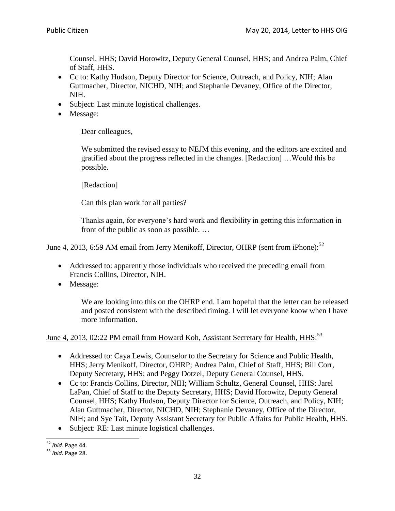Counsel, HHS; David Horowitz, Deputy General Counsel, HHS; and Andrea Palm, Chief of Staff, HHS.

- Cc to: Kathy Hudson, Deputy Director for Science, Outreach, and Policy, NIH; Alan Guttmacher, Director, NICHD, NIH; and Stephanie Devaney, Office of the Director, NIH.
- Subject: Last minute logistical challenges.
- Message:

Dear colleagues,

We submitted the revised essay to NEJM this evening, and the editors are excited and gratified about the progress reflected in the changes. [Redaction] …Would this be possible.

[Redaction]

Can this plan work for all parties?

Thanks again, for everyone's hard work and flexibility in getting this information in front of the public as soon as possible. …

## June 4, 2013, 6:59 AM email from Jerry Menikoff, Director, OHRP (sent from iPhone):<sup>52</sup>

- Addressed to: apparently those individuals who received the preceding email from Francis Collins, Director, NIH.
- Message:

We are looking into this on the OHRP end. I am hopeful that the letter can be released and posted consistent with the described timing. I will let everyone know when I have more information.

# June 4, 2013, 02:22 PM email from Howard Koh, Assistant Secretary for Health, HHS.<sup>53</sup>

- Addressed to: Caya Lewis, Counselor to the Secretary for Science and Public Health, HHS; Jerry Menikoff, Director, OHRP; Andrea Palm, Chief of Staff, HHS; Bill Corr, Deputy Secretary, HHS; and Peggy Dotzel, Deputy General Counsel, HHS.
- Cc to: Francis Collins, Director, NIH; William Schultz, General Counsel, HHS; Jarel LaPan, Chief of Staff to the Deputy Secretary, HHS; David Horowitz, Deputy General Counsel, HHS; Kathy Hudson, Deputy Director for Science, Outreach, and Policy, NIH; Alan Guttmacher, Director, NICHD, NIH; Stephanie Devaney, Office of the Director, NIH; and Sye Tait, Deputy Assistant Secretary for Public Affairs for Public Health, HHS.
- Subject: RE: Last minute logistical challenges.

 $\overline{a}$ <sup>52</sup> *Ibid*. Page 44.

<sup>53</sup> *Ibid*. Page 28.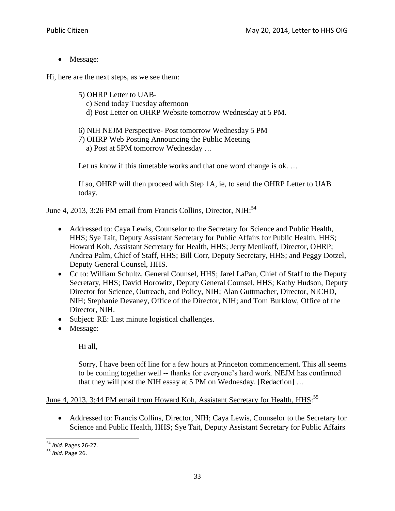• Message:

Hi, here are the next steps, as we see them:

- 5) OHRP Letter to UAB c) Send today Tuesday afternoon d) Post Letter on OHRP Website tomorrow Wednesday at 5 PM.
- 6) NIH NEJM Perspective- Post tomorrow Wednesday 5 PM
- 7) OHRP Web Posting Announcing the Public Meeting
	- a) Post at 5PM tomorrow Wednesday …

Let us know if this timetable works and that one word change is ok. ...

If so, OHRP will then proceed with Step 1A, ie, to send the OHRP Letter to UAB today.

June 4, 2013, 3:26 PM email from Francis Collins, Director, NIH:<sup>54</sup>

- Addressed to: Caya Lewis, Counselor to the Secretary for Science and Public Health, HHS; Sye Tait, Deputy Assistant Secretary for Public Affairs for Public Health, HHS; Howard Koh, Assistant Secretary for Health, HHS; Jerry Menikoff, Director, OHRP; Andrea Palm, Chief of Staff, HHS; Bill Corr, Deputy Secretary, HHS; and Peggy Dotzel, Deputy General Counsel, HHS.
- Cc to: William Schultz, General Counsel, HHS; Jarel LaPan, Chief of Staff to the Deputy Secretary, HHS; David Horowitz, Deputy General Counsel, HHS; Kathy Hudson, Deputy Director for Science, Outreach, and Policy, NIH; Alan Guttmacher, Director, NICHD, NIH; Stephanie Devaney, Office of the Director, NIH; and Tom Burklow, Office of the Director, NIH.
- Subject: RE: Last minute logistical challenges.
- Message:

Hi all,

Sorry, I have been off line for a few hours at Princeton commencement. This all seems to be coming together well -- thanks for everyone's hard work. NEJM has confirmed that they will post the NIH essay at 5 PM on Wednesday. [Redaction] …

## June 4, 2013, 3:44 PM email from Howard Koh, Assistant Secretary for Health, HHS.<sup>55</sup>

 Addressed to: Francis Collins, Director, NIH; Caya Lewis, Counselor to the Secretary for Science and Public Health, HHS; Sye Tait, Deputy Assistant Secretary for Public Affairs

<sup>54</sup> *Ibid*. Pages 26-27.

<sup>55</sup> *Ibid*. Page 26.